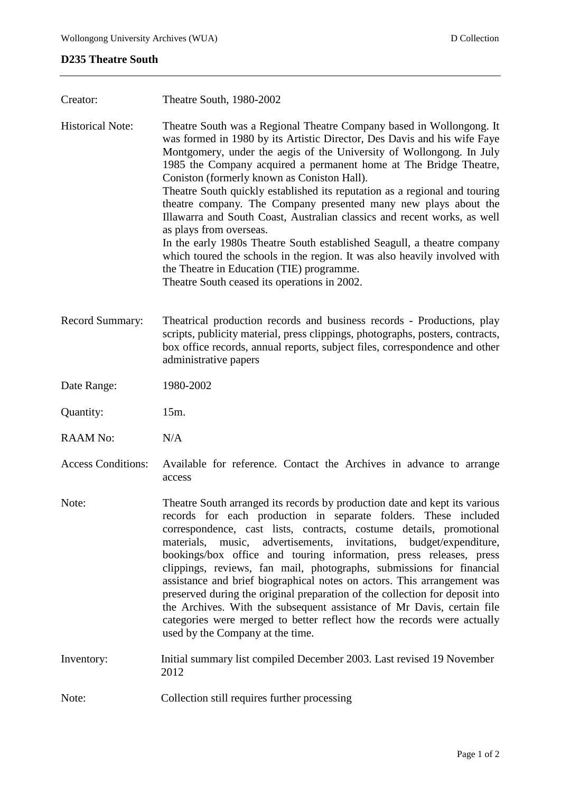## **D235 Theatre South**

| Creator:                  | Theatre South, 1980-2002                                                                                                                                                                                                                                                                                                                                                                                                                                                                                                                                                                                                                                                                                                                                                                                                                                  |
|---------------------------|-----------------------------------------------------------------------------------------------------------------------------------------------------------------------------------------------------------------------------------------------------------------------------------------------------------------------------------------------------------------------------------------------------------------------------------------------------------------------------------------------------------------------------------------------------------------------------------------------------------------------------------------------------------------------------------------------------------------------------------------------------------------------------------------------------------------------------------------------------------|
| <b>Historical Note:</b>   | Theatre South was a Regional Theatre Company based in Wollongong. It<br>was formed in 1980 by its Artistic Director, Des Davis and his wife Faye<br>Montgomery, under the aegis of the University of Wollongong. In July<br>1985 the Company acquired a permanent home at The Bridge Theatre,<br>Coniston (formerly known as Coniston Hall).<br>Theatre South quickly established its reputation as a regional and touring<br>theatre company. The Company presented many new plays about the<br>Illawarra and South Coast, Australian classics and recent works, as well<br>as plays from overseas.<br>In the early 1980s Theatre South established Seagull, a theatre company<br>which toured the schools in the region. It was also heavily involved with<br>the Theatre in Education (TIE) programme.<br>Theatre South ceased its operations in 2002. |
| Record Summary:           | Theatrical production records and business records - Productions, play<br>scripts, publicity material, press clippings, photographs, posters, contracts,<br>box office records, annual reports, subject files, correspondence and other<br>administrative papers                                                                                                                                                                                                                                                                                                                                                                                                                                                                                                                                                                                          |
| Date Range:               | 1980-2002                                                                                                                                                                                                                                                                                                                                                                                                                                                                                                                                                                                                                                                                                                                                                                                                                                                 |
| Quantity:                 | 15m.                                                                                                                                                                                                                                                                                                                                                                                                                                                                                                                                                                                                                                                                                                                                                                                                                                                      |
| <b>RAAM No:</b>           | N/A                                                                                                                                                                                                                                                                                                                                                                                                                                                                                                                                                                                                                                                                                                                                                                                                                                                       |
| <b>Access Conditions:</b> | Available for reference. Contact the Archives in advance to arrange<br>access                                                                                                                                                                                                                                                                                                                                                                                                                                                                                                                                                                                                                                                                                                                                                                             |
| Note:                     | Theatre South arranged its records by production date and kept its various<br>records for each production in separate folders. These included<br>correspondence, cast lists, contracts, costume details, promotional<br>music, advertisements, invitations, budget/expenditure,<br>materials,<br>bookings/box office and touring information, press releases, press                                                                                                                                                                                                                                                                                                                                                                                                                                                                                       |
|                           | clippings, reviews, fan mail, photographs, submissions for financial<br>assistance and brief biographical notes on actors. This arrangement was<br>preserved during the original preparation of the collection for deposit into<br>the Archives. With the subsequent assistance of Mr Davis, certain file<br>categories were merged to better reflect how the records were actually<br>used by the Company at the time.                                                                                                                                                                                                                                                                                                                                                                                                                                   |
| Inventory:                | Initial summary list compiled December 2003. Last revised 19 November<br>2012                                                                                                                                                                                                                                                                                                                                                                                                                                                                                                                                                                                                                                                                                                                                                                             |